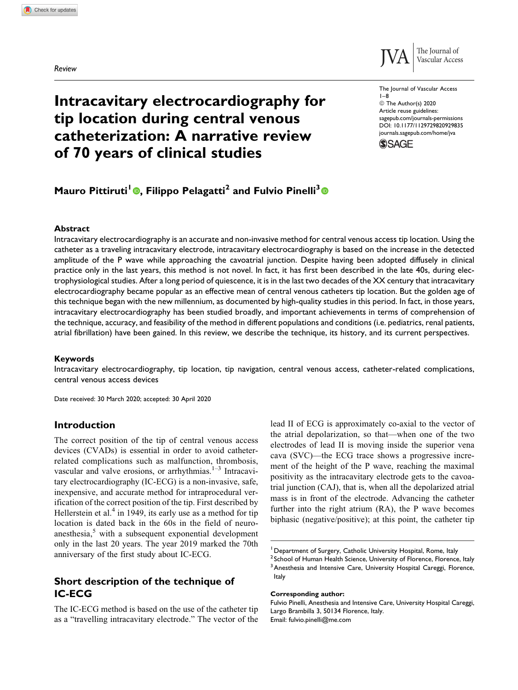Review



The Journal of Vascular Access

© The Author(s) 2020 Article reuse guidelines: [sagepub.com/journals-permissions](https://sagepub.com/journals-permissions) [DOI: 10.1177/1129729820929835](https://doi.org/10.1177/1129729820929835) [journals.sagepub.com/home/jva](http://journals.sagepub.com/home/jva)

**SSAGE** 

1–8

Vascular Access

# Intracavitary electrocardiography for tip location during central venous catheterization: A narrative review of 70 years of clinical studies

# Mauro Pittiruti<sup>1</sup> **O.** Filippo Pelagatti<sup>2</sup> and Fulvio Pinelli<sup>3</sup> **O**

#### Abstract

Intracavitary electrocardiography is an accurate and non-invasive method for central venous access tip location. Using the catheter as a traveling intracavitary electrode, intracavitary electrocardiography is based on the increase in the detected amplitude of the P wave while approaching the cavoatrial junction. Despite having been adopted diffusely in clinical practice only in the last years, this method is not novel. In fact, it has first been described in the late 40s, during electrophysiological studies. After a long period of quiescence, it is in the last two decades of the XX century that intracavitary electrocardiography became popular as an effective mean of central venous catheters tip location. But the golden age of this technique began with the new millennium, as documented by high-quality studies in this period. In fact, in those years, intracavitary electrocardiography has been studied broadly, and important achievements in terms of comprehension of the technique, accuracy, and feasibility of the method in different populations and conditions (i.e. pediatrics, renal patients, atrial fibrillation) have been gained. In this review, we describe the technique, its history, and its current perspectives.

#### Keywords

Intracavitary electrocardiography, tip location, tip navigation, central venous access, catheter-related complications, central venous access devices

Date received: 30 March 2020; accepted: 30 April 2020

## Introduction

The correct position of the tip of central venous access devices (CVADs) is essential in order to avoid catheterrelated complications such as malfunction, thrombosis, vascular and valve erosions, or arrhythmias.<sup>1-3</sup> Intracavitary electrocardiography (IC-ECG) is a non-invasive, safe, inexpensive, and accurate method for intraprocedural verification of the correct position of the tip. First described by Hellerstein et al.<sup>4</sup> in 1949, its early use as a method for tip location is dated back in the 60s in the field of neuroanesthesia, $5$  with a subsequent exponential development only in the last 20 years. The year 2019 marked the 70th anniversary of the first study about IC-ECG.

# Short description of the technique of IC-ECG

The IC-ECG method is based on the use of the catheter tip as a "travelling intracavitary electrode." The vector of the lead II of ECG is approximately co-axial to the vector of the atrial depolarization, so that—when one of the two electrodes of lead II is moving inside the superior vena cava (SVC)—the ECG trace shows a progressive increment of the height of the P wave, reaching the maximal positivity as the intracavitary electrode gets to the cavoatrial junction (CAJ), that is, when all the depolarized atrial mass is in front of the electrode. Advancing the catheter further into the right atrium (RA), the P wave becomes biphasic (negative/positive); at this point, the catheter tip

#### Corresponding author:

<sup>&</sup>lt;sup>1</sup> Department of Surgery, Catholic University Hospital, Rome, Italy

<sup>&</sup>lt;sup>2</sup> School of Human Health Science, University of Florence, Florence, Italy <sup>3</sup> Anesthesia and Intensive Care, University Hospital Careggi, Florence, Italy

Fulvio Pinelli, Anesthesia and Intensive Care, University Hospital Careggi, Largo Brambilla 3, 50134 Florence, Italy. Email: [fulvio.pinelli@me.com](mailto:fulvio.pinelli@me.com)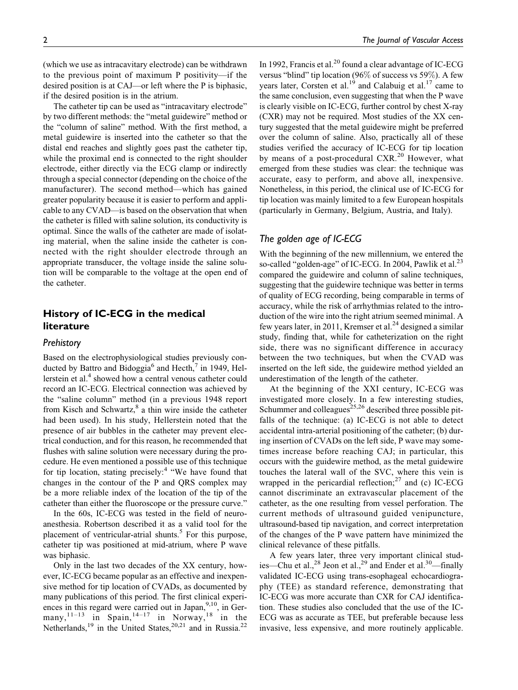2 **2** The Journal of Vascular Access

(which we use as intracavitary electrode) can be withdrawn to the previous point of maximum P positivity—if the desired position is at CAJ—or left where the P is biphasic, if the desired position is in the atrium.

The catheter tip can be used as "intracavitary electrode" by two different methods: the "metal guidewire" method or the "column of saline" method. With the first method, a metal guidewire is inserted into the catheter so that the distal end reaches and slightly goes past the catheter tip, while the proximal end is connected to the right shoulder electrode, either directly via the ECG clamp or indirectly through a special connector (depending on the choice of the manufacturer). The second method—which has gained greater popularity because it is easier to perform and applicable to any CVAD—is based on the observation that when the catheter is filled with saline solution, its conductivity is optimal. Since the walls of the catheter are made of isolating material, when the saline inside the catheter is connected with the right shoulder electrode through an appropriate transducer, the voltage inside the saline solution will be comparable to the voltage at the open end of the catheter.

# History of IC-ECG in the medical literature

#### **Prehistory**

Based on the electrophysiological studies previously conducted by Battro and Bidoggia<sup>6</sup> and Hecth,<sup>7</sup> in 1949, Hellerstein et al.<sup>4</sup> showed how a central venous catheter could record an IC-ECG. Electrical connection was achieved by the "saline column" method (in a previous 1948 report from Kisch and Schwartz,<sup>8</sup> a thin wire inside the catheter had been used). In his study, Hellerstein noted that the presence of air bubbles in the catheter may prevent electrical conduction, and for this reason, he recommended that flushes with saline solution were necessary during the procedure. He even mentioned a possible use of this technique for tip location, stating precisely: $4$  "We have found that changes in the contour of the P and QRS complex may be a more reliable index of the location of the tip of the catheter than either the fluoroscope or the pressure curve."

In the 60s, IC-ECG was tested in the field of neuroanesthesia. Robertson described it as a valid tool for the placement of ventricular-atrial shunts.<sup>5</sup> For this purpose, catheter tip was positioned at mid-atrium, where P wave was biphasic.

Only in the last two decades of the XX century, however, IC-ECG became popular as an effective and inexpensive method for tip location of CVADs, as documented by many publications of this period. The first clinical experiences in this regard were carried out in Japan,  $9,10$ , in Germany,<sup>11–13</sup> in Spain,<sup>14–17</sup> in Norway,<sup>18</sup> in the Netherlands,<sup>19</sup> in the United States,<sup>20,21</sup> and in Russia.<sup>22</sup>

In 1992, Francis et al.<sup>20</sup> found a clear advantage of IC-ECG versus "blind" tip location (96% of success vs 59%). A few years later, Corsten et al.<sup>19</sup> and Calabuig et al.<sup>17</sup> came to the same conclusion, even suggesting that when the P wave is clearly visible on IC-ECG, further control by chest X-ray (CXR) may not be required. Most studies of the XX century suggested that the metal guidewire might be preferred over the column of saline. Also, practically all of these studies verified the accuracy of IC-ECG for tip location by means of a post-procedural CXR.<sup>20</sup> However, what emerged from these studies was clear: the technique was accurate, easy to perform, and above all, inexpensive. Nonetheless, in this period, the clinical use of IC-ECG for tip location was mainly limited to a few European hospitals (particularly in Germany, Belgium, Austria, and Italy).

# The golden age of IC-ECG

With the beginning of the new millennium, we entered the so-called "golden-age" of IC-ECG. In 2004, Pawlik et al.<sup>23</sup> compared the guidewire and column of saline techniques, suggesting that the guidewire technique was better in terms of quality of ECG recording, being comparable in terms of accuracy, while the risk of arrhythmias related to the introduction of the wire into the right atrium seemed minimal. A few years later, in 2011, Kremser et al. $^{24}$  designed a similar study, finding that, while for catheterization on the right side, there was no significant difference in accuracy between the two techniques, but when the CVAD was inserted on the left side, the guidewire method yielded an underestimation of the length of the catheter.

At the beginning of the XXI century, IC-ECG was investigated more closely. In a few interesting studies, Schummer and colleagues<sup>25,26</sup> described three possible pitfalls of the technique: (a) IC-ECG is not able to detect accidental intra-arterial positioning of the catheter; (b) during insertion of CVADs on the left side, P wave may sometimes increase before reaching CAJ; in particular, this occurs with the guidewire method, as the metal guidewire touches the lateral wall of the SVC, where this vein is wrapped in the pericardial reflection; $27$  and (c) IC-ECG cannot discriminate an extravascular placement of the catheter, as the one resulting from vessel perforation. The current methods of ultrasound guided venipuncture, ultrasound-based tip navigation, and correct interpretation of the changes of the P wave pattern have minimized the clinical relevance of these pitfalls.

A few years later, three very important clinical studies—Chu et al.,<sup>28</sup> Jeon et al.,<sup>29</sup> and Ender et al.<sup>30</sup>—finally validated IC-ECG using trans-esophageal echocardiography (TEE) as standard reference, demonstrating that IC-ECG was more accurate than CXR for CAJ identification. These studies also concluded that the use of the IC-ECG was as accurate as TEE, but preferable because less invasive, less expensive, and more routinely applicable.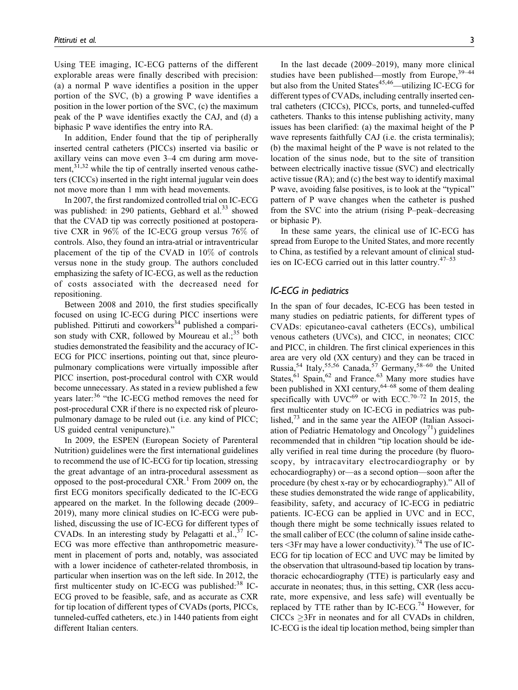Using TEE imaging, IC-ECG patterns of the different explorable areas were finally described with precision: (a) a normal P wave identifies a position in the upper portion of the SVC, (b) a growing P wave identifies a position in the lower portion of the SVC, (c) the maximum peak of the P wave identifies exactly the CAJ, and (d) a biphasic P wave identifies the entry into RA.

In addition, Ender found that the tip of peripherally inserted central catheters (PICCs) inserted via basilic or axillary veins can move even 3–4 cm during arm movement,<sup>31,32</sup> while the tip of centrally inserted venous catheters (CICCs) inserted in the right internal jugular vein does not move more than 1 mm with head movements.

In 2007, the first randomized controlled trial on IC-ECG was published: in 290 patients, Gebhard et al. $33$  showed that the CVAD tip was correctly positioned at postoperative CXR in 96% of the IC-ECG group versus 76% of controls. Also, they found an intra-atrial or intraventricular placement of the tip of the CVAD in 10% of controls versus none in the study group. The authors concluded emphasizing the safety of IC-ECG, as well as the reduction of costs associated with the decreased need for repositioning.

Between 2008 and 2010, the first studies specifically focused on using IC-ECG during PICC insertions were published. Pittiruti and coworkers<sup>34</sup> published a comparison study with CXR, followed by Moureau et al.; $35$  both studies demonstrated the feasibility and the accuracy of IC-ECG for PICC insertions, pointing out that, since pleuropulmonary complications were virtually impossible after PICC insertion, post-procedural control with CXR would become unnecessary. As stated in a review published a few years later:<sup>36</sup> "the IC-ECG method removes the need for post-procedural CXR if there is no expected risk of pleuropulmonary damage to be ruled out (i.e. any kind of PICC; US guided central venipuncture)."

In 2009, the ESPEN (European Society of Parenteral Nutrition) guidelines were the first international guidelines to recommend the use of IC-ECG for tip location, stressing the great advantage of an intra-procedural assessment as opposed to the post-procedural  $CXR$ .<sup>1</sup> From 2009 on, the first ECG monitors specifically dedicated to the IC-ECG appeared on the market. In the following decade (2009– 2019), many more clinical studies on IC-ECG were published, discussing the use of IC-ECG for different types of CVADs. In an interesting study by Pelagatti et al.,<sup>37</sup> IC-ECG was more effective than anthropometric measurement in placement of ports and, notably, was associated with a lower incidence of catheter-related thrombosis, in particular when insertion was on the left side. In 2012, the first multicenter study on IC-ECG was published: $38$  IC-ECG proved to be feasible, safe, and as accurate as CXR for tip location of different types of CVADs (ports, PICCs, tunneled-cuffed catheters, etc.) in 1440 patients from eight different Italian centers.

In the last decade (2009–2019), many more clinical studies have been published—mostly from Europe,  $39-44$ but also from the United States $45,46$ —utilizing IC-ECG for different types of CVADs, including centrally inserted central catheters (CICCs), PICCs, ports, and tunneled-cuffed catheters. Thanks to this intense publishing activity, many issues has been clarified: (a) the maximal height of the P wave represents faithfully CAJ (i.e. the crista terminalis); (b) the maximal height of the P wave is not related to the location of the sinus node, but to the site of transition between electrically inactive tissue (SVC) and electrically active tissue (RA); and (c) the best way to identify maximal P wave, avoiding false positives, is to look at the "typical" pattern of P wave changes when the catheter is pushed

In these same years, the clinical use of IC-ECG has spread from Europe to the United States, and more recently to China, as testified by a relevant amount of clinical studies on IC-ECG carried out in this latter country. $47-53$ 

from the SVC into the atrium (rising P–peak–decreasing

## IC-ECG in pediatrics

or biphasic P).

In the span of four decades, IC-ECG has been tested in many studies on pediatric patients, for different types of CVADs: epicutaneo-caval catheters (ECCs), umbilical venous catheters (UVCs), and CICC, in neonates; CICC and PICC, in children. The first clinical experiences in this area are very old (XX century) and they can be traced in Russia,<sup>54</sup> Italy,55,56 Canada,<sup>57</sup> Germany,58–60 the United States,  $61$  Spain,  $62$  and France.  $63$  Many more studies have been published in XXI century,  $64-68$  some of them dealing specifically with UVC $^{69}$  or with ECC.<sup>70–72</sup> In 2015, the first multicenter study on IC-ECG in pediatrics was published, $73$  and in the same year the AIEOP (Italian Association of Pediatric Hematology and Oncology<sup>71</sup>) guidelines recommended that in children "tip location should be ideally verified in real time during the procedure (by fluoroscopy, by intracavitary electrocardiography or by echocardiography) or—as a second option—soon after the procedure (by chest x-ray or by echocardiography)." All of these studies demonstrated the wide range of applicability, feasibility, safety, and accuracy of IC-ECG in pediatric patients. IC-ECG can be applied in UVC and in ECC, though there might be some technically issues related to the small caliber of ECC (the column of saline inside catheters  $\leq$ 3Fr may have a lower conductivity).<sup>74</sup> The use of IC-ECG for tip location of ECC and UVC may be limited by the observation that ultrasound-based tip location by transthoracic echocardiography (TTE) is particularly easy and accurate in neonates; thus, in this setting, CXR (less accurate, more expensive, and less safe) will eventually be replaced by TTE rather than by IC-ECG.<sup>74</sup> However, for  $CICCs \geq 3Fr$  in neonates and for all CVADs in children, IC-ECG is the ideal tip location method, being simpler than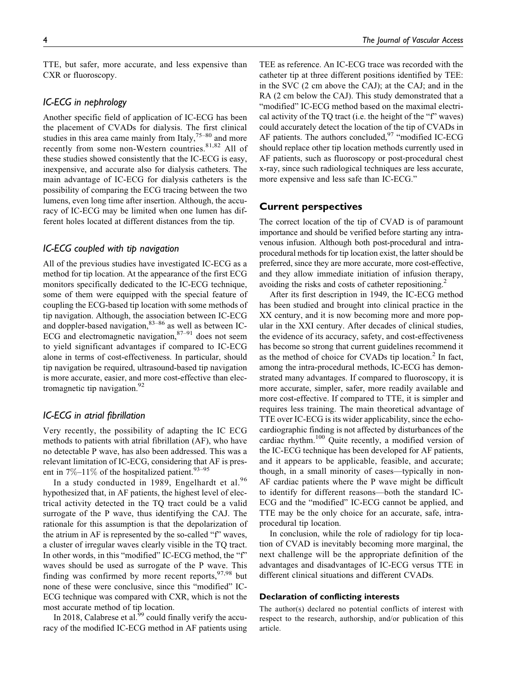TTE, but safer, more accurate, and less expensive than CXR or fluoroscopy.

# IC-ECG in nephrology

Another specific field of application of IC-ECG has been the placement of CVADs for dialysis. The first clinical studies in this area came mainly from Italy,  $75-80$  and more recently from some non-Western countries.<sup>81,82</sup> All of these studies showed consistently that the IC-ECG is easy, inexpensive, and accurate also for dialysis catheters. The main advantage of IC-ECG for dialysis catheters is the possibility of comparing the ECG tracing between the two lumens, even long time after insertion. Although, the accuracy of IC-ECG may be limited when one lumen has different holes located at different distances from the tip.

## IC-ECG coupled with tip navigation

All of the previous studies have investigated IC-ECG as a method for tip location. At the appearance of the first ECG monitors specifically dedicated to the IC-ECG technique, some of them were equipped with the special feature of coupling the ECG-based tip location with some methods of tip navigation. Although, the association between IC-ECG and doppler-based navigation,  $83-86$  as well as between IC-ECG and electromagnetic navigation, $87-91$  does not seem to yield significant advantages if compared to IC-ECG alone in terms of cost-effectiveness. In particular, should tip navigation be required, ultrasound-based tip navigation is more accurate, easier, and more cost-effective than electromagnetic tip navigation. $92$ 

## IC-ECG in atrial fibrillation

Very recently, the possibility of adapting the IC ECG methods to patients with atrial fibrillation (AF), who have no detectable P wave, has also been addressed. This was a relevant limitation of IC-ECG, considering that AF is present in  $7\%$ –11% of the hospitalized patient.<sup>93–95</sup>

In a study conducted in 1989, Engelhardt et al. $96$ hypothesized that, in AF patients, the highest level of electrical activity detected in the TQ tract could be a valid surrogate of the P wave, thus identifying the CAJ. The rationale for this assumption is that the depolarization of the atrium in AF is represented by the so-called "f" waves, a cluster of irregular waves clearly visible in the TQ tract. In other words, in this "modified" IC-ECG method, the "f" waves should be used as surrogate of the P wave. This finding was confirmed by more recent reports,  $97,98$  but none of these were conclusive, since this "modified" IC-ECG technique was compared with CXR, which is not the most accurate method of tip location.

In 2018, Calabrese et al.<sup>99</sup> could finally verify the accuracy of the modified IC-ECG method in AF patients using TEE as reference. An IC-ECG trace was recorded with the catheter tip at three different positions identified by TEE: in the SVC (2 cm above the CAJ); at the CAJ; and in the RA (2 cm below the CAJ). This study demonstrated that a "modified" IC-ECG method based on the maximal electrical activity of the TQ tract (i.e. the height of the "f" waves) could accurately detect the location of the tip of CVADs in AF patients. The authors concluded,<sup>97</sup> "modified IC-ECG should replace other tip location methods currently used in AF patients, such as fluoroscopy or post-procedural chest x-ray, since such radiological techniques are less accurate, more expensive and less safe than IC-ECG."

#### Current perspectives

The correct location of the tip of CVAD is of paramount importance and should be verified before starting any intravenous infusion. Although both post-procedural and intraprocedural methods for tip location exist, the latter should be preferred, since they are more accurate, more cost-effective, and they allow immediate initiation of infusion therapy, avoiding the risks and costs of catheter repositioning.<sup>2</sup>

After its first description in 1949, the IC-ECG method has been studied and brought into clinical practice in the XX century, and it is now becoming more and more popular in the XXI century. After decades of clinical studies, the evidence of its accuracy, safety, and cost-effectiveness has become so strong that current guidelines recommend it as the method of choice for CVADs tip location.<sup>2</sup> In fact, among the intra-procedural methods, IC-ECG has demonstrated many advantages. If compared to fluoroscopy, it is more accurate, simpler, safer, more readily available and more cost-effective. If compared to TTE, it is simpler and requires less training. The main theoretical advantage of TTE over IC-ECG is its wider applicability, since the echocardiographic finding is not affected by disturbances of the cardiac rhythm.<sup>100</sup> Quite recently, a modified version of the IC-ECG technique has been developed for AF patients, and it appears to be applicable, feasible, and accurate; though, in a small minority of cases—typically in non-AF cardiac patients where the P wave might be difficult to identify for different reasons—both the standard IC-ECG and the "modified" IC-ECG cannot be applied, and TTE may be the only choice for an accurate, safe, intraprocedural tip location.

In conclusion, while the role of radiology for tip location of CVAD is inevitably becoming more marginal, the next challenge will be the appropriate definition of the advantages and disadvantages of IC-ECG versus TTE in different clinical situations and different CVADs.

#### Declaration of conflicting interests

The author(s) declared no potential conflicts of interest with respect to the research, authorship, and/or publication of this article.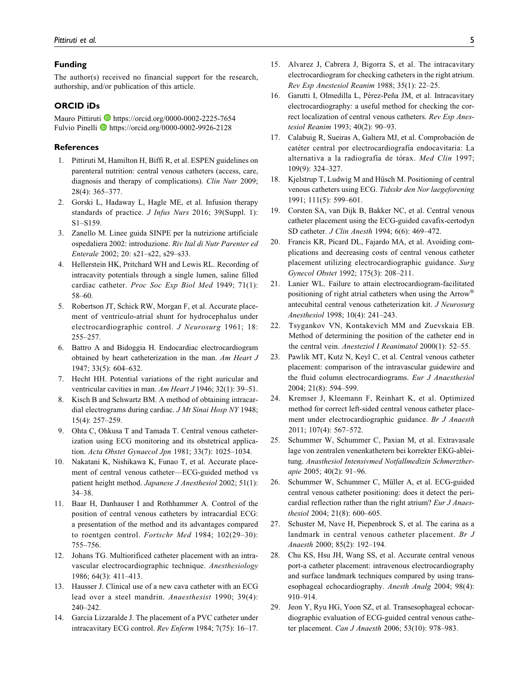#### Funding

The author(s) received no financial support for the research, authorship, and/or publication of this article.

#### ORCID iDs

Mauro Pittiruti D<https://orcid.org/0000-0002-2225-7654> Fulvio Pinelli **I** <https://orcid.org/0000-0002-9926-2128>

#### **References**

- 1. Pittiruti M, Hamilton H, Biffi R, et al. ESPEN guidelines on parenteral nutrition: central venous catheters (access, care, diagnosis and therapy of complications). Clin Nutr 2009; 28(4): 365–377.
- 2. Gorski L, Hadaway L, Hagle ME, et al. Infusion therapy standards of practice. J Infus Nurs 2016; 39(Suppl. 1): S1–S159.
- 3. Zanello M. Linee guida SINPE per la nutrizione artificiale ospedaliera 2002: introduzione. Riv Ital di Nutr Parenter ed Enterale 2002; 20: s21–s22, s29–s33.
- 4. Hellerstein HK, Pritchard WH and Lewis RL. Recording of intracavity potentials through a single lumen, saline filled cardiac catheter. Proc Soc Exp Biol Med 1949; 71(1): 58–60.
- 5. Robertson JT, Schick RW, Morgan F, et al. Accurate placement of ventriculo-atrial shunt for hydrocephalus under electrocardiographic control. J Neurosurg 1961; 18: 255–257.
- 6. Battro A and Bidoggia H. Endocardiac electrocardiogram obtained by heart catheterization in the man. Am Heart J 1947; 33(5): 604–632.
- 7. Hecht HH. Potential variations of the right auricular and ventricular cavities in man. Am Heart J 1946; 32(1): 39–51.
- 8. Kisch B and Schwartz BM. A method of obtaining intracardial electrograms during cardiac. J Mt Sinai Hosp NY 1948; 15(4): 257–259.
- 9. Ohta C, Ohkusa T and Tamada T. Central venous catheterization using ECG monitoring and its obstetrical application. Acta Obstet Gynaecol Jpn 1981; 33(7): 1025–1034.
- 10. Nakatani K, Nishikawa K, Funao T, et al. Accurate placement of central venous catheter—ECG-guided method vs patient height method. Japanese J Anesthesiol 2002; 51(1): 34–38.
- 11. Baar H, Danhauser I and Rothhammer A. Control of the position of central venous catheters by intracardial ECG: a presentation of the method and its advantages compared to roentgen control. Fortschr Med 1984; 102(29–30): 755–756.
- 12. Johans TG. Multiorificed catheter placement with an intravascular electrocardiographic technique. Anesthesiology 1986; 64(3): 411–413.
- 13. Hausser J. Clinical use of a new cava catheter with an ECG lead over a steel mandrin. Anaesthesist 1990; 39(4): 240–242.
- 14. Garcia Lizzaralde J. The placement of a PVC catheter under intracavitary ECG control. Rev Enferm 1984; 7(75): 16–17.
- 15. Alvarez J, Cabrera J, Bigorra S, et al. The intracavitary electrocardiogram for checking catheters in the right atrium. Rev Esp Anestesiol Reanim 1988; 35(1): 22–25.
- 16. Garutti I, Olmedilla L, Pérez-Peña JM, et al. Intracavitary electrocardiography: a useful method for checking the correct localization of central venous catheters. Rev Esp Anestesiol Reanim 1993; 40(2): 90–93.
- 17. Calabuig R, Sueiras A, Galtera MJ, et al. Comprobación de catéter central por electrocardiografía endocavitaria: La alternativa a la radiografía de tórax. Med Clin 1997; 109(9): 324–327.
- 18. Kjelstrup T, Ludwig M and Hüsch M. Positioning of central venous catheters using ECG. Tidsskr den Nor laegeforening 1991; 111(5): 599–601.
- 19. Corsten SA, van Dijk B, Bakker NC, et al. Central venous catheter placement using the ECG-guided cavafix-certodyn SD catheter. J Clin Anesth 1994; 6(6): 469–472.
- 20. Francis KR, Picard DL, Fajardo MA, et al. Avoiding complications and decreasing costs of central venous catheter placement utilizing electrocardiographic guidance. Surg Gynecol Obstet 1992; 175(3): 208–211.
- 21. Lanier WL. Failure to attain electrocardiogram-facilitated positioning of right atrial catheters when using the Arrow® antecubital central venous catheterization kit. J Neurosurg Anesthesiol 1998; 10(4): 241–243.
- 22. Tsygankov VN, Kontakevich MM and Zuevskaia EB. Method of determining the position of the catheter end in the central vein. Anesteziol I Reanimatol 2000(1): 52–55.
- 23. Pawlik MT, Kutz N, Keyl C, et al. Central venous catheter placement: comparison of the intravascular guidewire and the fluid column electrocardiograms. Eur J Anaesthesiol 2004; 21(8): 594–599.
- 24. Kremser J, Kleemann F, Reinhart K, et al. Optimized method for correct left-sided central venous catheter placement under electrocardiographic guidance. Br J Anaesth 2011; 107(4): 567–572.
- 25. Schummer W, Schummer C, Paxian M, et al. Extravasale lage von zentralen venenkathetern bei korrekter EKG-ableitung. Anasthesiol Intensivmed Notfallmedizin Schmerztherapie 2005; 40(2): 91–96.
- 26. Schummer W, Schummer C, Müller A, et al. ECG-guided central venous catheter positioning: does it detect the pericardial reflection rather than the right atrium? Eur J Anaesthesiol 2004; 21(8): 600–605.
- 27. Schuster M, Nave H, Piepenbrock S, et al. The carina as a landmark in central venous catheter placement. Br J Anaesth 2000; 85(2): 192–194.
- 28. Chu KS, Hsu JH, Wang SS, et al. Accurate central venous port-a catheter placement: intravenous electrocardiography and surface landmark techniques compared by using transesophageal echocardiography. Anesth Analg 2004; 98(4): 910–914.
- 29. Jeon Y, Ryu HG, Yoon SZ, et al. Transesophageal echocardiographic evaluation of ECG-guided central venous catheter placement. Can J Anaesth 2006; 53(10): 978–983.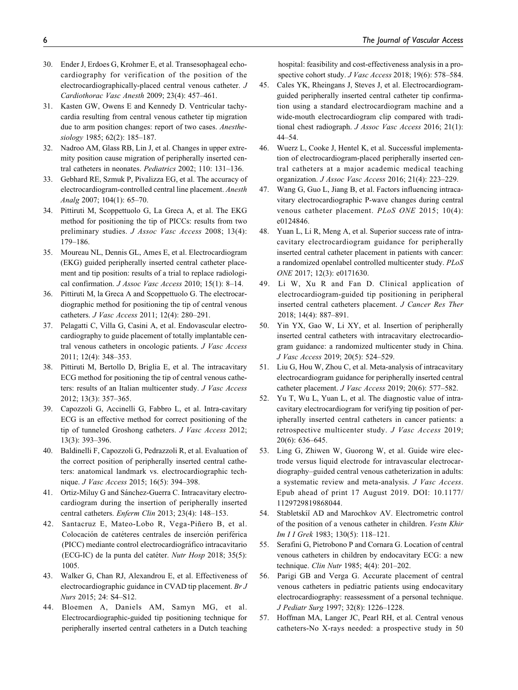- 30. Ender J, Erdoes G, Krohmer E, et al. Transesophageal echocardiography for verification of the position of the electrocardiographically-placed central venous catheter. J Cardiothorac Vasc Anesth 2009; 23(4): 457–461.
- 31. Kasten GW, Owens E and Kennedy D. Ventricular tachycardia resulting from central venous catheter tip migration due to arm position changes: report of two cases. Anesthesiology 1985; 62(2): 185–187.
- 32. Nadroo AM, Glass RB, Lin J, et al. Changes in upper extremity position cause migration of peripherally inserted central catheters in neonates. Pediatrics 2002; 110: 131–136.
- 33. Gebhard RE, Szmuk P, Pivalizza EG, et al. The accuracy of electrocardiogram-controlled central line placement. Anesth Analg 2007; 104(1): 65–70.
- 34. Pittiruti M, Scoppettuolo G, La Greca A, et al. The EKG method for positioning the tip of PICCs: results from two preliminary studies. J Assoc Vasc Access 2008; 13(4): 179–186.
- 35. Moureau NL, Dennis GL, Ames E, et al. Electrocardiogram (EKG) guided peripherally inserted central catheter placement and tip position: results of a trial to replace radiological confirmation. J Assoc Vasc Access 2010; 15(1): 8–14.
- 36. Pittiruti M, la Greca A and Scoppettuolo G. The electrocardiographic method for positioning the tip of central venous catheters. J Vasc Access 2011; 12(4): 280–291.
- 37. Pelagatti C, Villa G, Casini A, et al. Endovascular electrocardiography to guide placement of totally implantable central venous catheters in oncologic patients. J Vasc Access 2011; 12(4): 348–353.
- 38. Pittiruti M, Bertollo D, Briglia E, et al. The intracavitary ECG method for positioning the tip of central venous catheters: results of an Italian multicenter study. J Vasc Access 2012; 13(3): 357–365.
- 39. Capozzoli G, Accinelli G, Fabbro L, et al. Intra-cavitary ECG is an effective method for correct positioning of the tip of tunneled Groshong catheters. J Vasc Access 2012; 13(3): 393–396.
- 40. Baldinelli F, Capozzoli G, Pedrazzoli R, et al. Evaluation of the correct position of peripherally inserted central catheters: anatomical landmark vs. electrocardiographic technique. *J Vasc Access* 2015; 16(5): 394–398.
- 41. Ortiz-Miluy G and Sánchez-Guerra C. Intracavitary electrocardiogram during the insertion of peripherally inserted central catheters. Enferm Clin 2013; 23(4): 148–153.
- 42. Santacruz E, Mateo-Lobo R, Vega-Piñero B, et al. Colocación de catéteres centrales de inserción periférica (PICC) mediante control electrocardiográfico intracavitario (ECG-IC) de la punta del catéter. Nutr Hosp 2018; 35(5): 1005.
- 43. Walker G, Chan RJ, Alexandrou E, et al. Effectiveness of electrocardiographic guidance in CVAD tip placement. Br J Nurs 2015; 24: S4–S12.
- 44. Bloemen A, Daniels AM, Samyn MG, et al. Electrocardiographic-guided tip positioning technique for peripherally inserted central catheters in a Dutch teaching

hospital: feasibility and cost-effectiveness analysis in a prospective cohort study. J Vasc Access 2018; 19(6): 578–584.

- 45. Cales YK, Rheingans J, Steves J, et al. Electrocardiogramguided peripherally inserted central catheter tip confirmation using a standard electrocardiogram machine and a wide-mouth electrocardiogram clip compared with traditional chest radiograph. J Assoc Vasc Access 2016; 21(1): 44–54.
- 46. Wuerz L, Cooke J, Hentel K, et al. Successful implementation of electrocardiogram-placed peripherally inserted central catheters at a major academic medical teaching organization. J Assoc Vasc Access 2016; 21(4): 223–229.
- 47. Wang G, Guo L, Jiang B, et al. Factors influencing intracavitary electrocardiographic P-wave changes during central venous catheter placement. PLoS ONE 2015; 10(4): e0124846.
- 48. Yuan L, Li R, Meng A, et al. Superior success rate of intracavitary electrocardiogram guidance for peripherally inserted central catheter placement in patients with cancer: a randomized openlabel controlled multicenter study. PLoS ONE 2017; 12(3): e0171630.
- 49. Li W, Xu R and Fan D. Clinical application of electrocardiogram-guided tip positioning in peripheral inserted central catheters placement. J Cancer Res Ther 2018; 14(4): 887–891.
- 50. Yin YX, Gao W, Li XY, et al. Insertion of peripherally inserted central catheters with intracavitary electrocardiogram guidance: a randomized multicenter study in China. J Vasc Access 2019; 20(5): 524–529.
- 51. Liu G, Hou W, Zhou C, et al. Meta-analysis of intracavitary electrocardiogram guidance for peripherally inserted central catheter placement. J Vasc Access 2019; 20(6): 577–582.
- 52. Yu T, Wu L, Yuan L, et al. The diagnostic value of intracavitary electrocardiogram for verifying tip position of peripherally inserted central catheters in cancer patients: a retrospective multicenter study. J Vasc Access 2019; 20(6): 636–645.
- 53. Ling G, Zhiwen W, Guorong W, et al. Guide wire electrode versus liquid electrode for intravascular electrocardiography–guided central venous catheterization in adults: a systematic review and meta-analysis. J Vasc Access. Epub ahead of print 17 August 2019. DOI: 10.1177/ 1129729819868044.
- 54. Stabletskiĭ AD and Marochkov AV. Electrometric control of the position of a venous catheter in children. Vestn Khir Im I I Grek 1983; 130(5): 118-121.
- 55. Serafini G, Pietrobono P and Cornara G. Location of central venous catheters in children by endocavitary ECG: a new technique. Clin Nutr 1985; 4(4): 201–202.
- 56. Parigi GB and Verga G. Accurate placement of central venous catheters in pediatric patients using endocavitary electrocardiography: reassessment of a personal technique. J Pediatr Surg 1997; 32(8): 1226–1228.
- 57. Hoffman MA, Langer JC, Pearl RH, et al. Central venous catheters-No X-rays needed: a prospective study in 50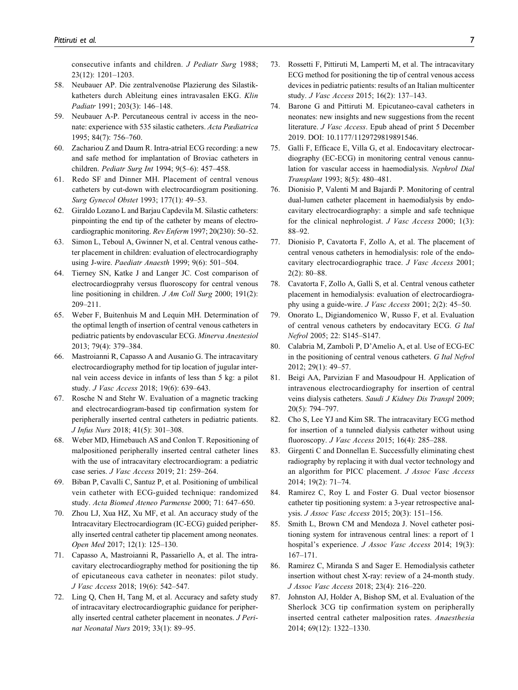consecutive infants and children. J Pediatr Surg 1988; 23(12): 1201–1203.

- 58. Neubauer AP. Die zentralvenoüse Plazierung des Silastikkatheters durch Ableitung eines intravasalen EKG. Klin Padiatr 1991; 203(3): 146–148.
- 59. Neubauer A-P. Percutaneous central iv access in the neonate: experience with 535 silastic catheters. Acta Pædiatrica 1995; 84(7): 756–760.
- 60. Zachariou Z and Daum R. Intra-atrial ECG recording: a new and safe method for implantation of Broviac catheters in children. Pediatr Surg Int 1994; 9(5–6): 457–458.
- 61. Redo SF and Dinner MH. Placement of central venous catheters by cut-down with electrocardiogram positioning. Surg Gynecol Obstet 1993; 177(1): 49–53.
- 62. Giraldo Lozano L and Barjau Capdevila M. Silastic catheters: pinpointing the end tip of the catheter by means of electrocardiographic monitoring. Rev Enferm 1997; 20(230): 50–52.
- 63. Simon L, Teboul A, Gwinner N, et al. Central venous catheter placement in children: evaluation of electrocardiography using J-wire. Paediatr Anaesth 1999; 9(6): 501–504.
- 64. Tierney SN, Katke J and Langer JC. Cost comparison of electrocardiogprahy versus fluoroscopy for central venous line positioning in children. J Am Coll Surg 2000; 191(2): 209–211.
- 65. Weber F, Buitenhuis M and Lequin MH. Determination of the optimal length of insertion of central venous catheters in pediatric patients by endovascular ECG. Minerva Anestesiol 2013; 79(4): 379–384.
- 66. Mastroianni R, Capasso A and Ausanio G. The intracavitary electrocardiography method for tip location of jugular internal vein access device in infants of less than 5 kg: a pilot study. J Vasc Access 2018; 19(6): 639–643.
- 67. Rosche N and Stehr W. Evaluation of a magnetic tracking and electrocardiogram-based tip confirmation system for peripherally inserted central catheters in pediatric patients. J Infus Nurs 2018; 41(5): 301–308.
- 68. Weber MD, Himebauch AS and Conlon T. Repositioning of malpositioned peripherally inserted central catheter lines with the use of intracavitary electrocardiogram: a pediatric case series. J Vasc Access 2019; 21: 259–264.
- 69. Biban P, Cavalli C, Santuz P, et al. Positioning of umbilical vein catheter with ECG-guided technique: randomized study. Acta Biomed Ateneo Parmense 2000; 71: 647–650.
- 70. Zhou LJ, Xua HZ, Xu MF, et al. An accuracy study of the Intracavitary Electrocardiogram (IC-ECG) guided peripherally inserted central catheter tip placement among neonates. Open Med 2017; 12(1): 125–130.
- 71. Capasso A, Mastroianni R, Passariello A, et al. The intracavitary electrocardiography method for positioning the tip of epicutaneous cava catheter in neonates: pilot study. J Vasc Access 2018; 19(6): 542–547.
- 72. Ling Q, Chen H, Tang M, et al. Accuracy and safety study of intracavitary electrocardiographic guidance for peripherally inserted central catheter placement in neonates. J Perinat Neonatal Nurs 2019; 33(1): 89–95.
- 73. Rossetti F, Pittiruti M, Lamperti M, et al. The intracavitary ECG method for positioning the tip of central venous access devices in pediatric patients: results of an Italian multicenter study. J Vasc Access 2015; 16(2): 137–143.
- 74. Barone G and Pittiruti M. Epicutaneo-caval catheters in neonates: new insights and new suggestions from the recent literature. J Vasc Access. Epub ahead of print 5 December 2019. DOI: 10.1177/1129729819891546.
- 75. Galli F, Efficace E, Villa G, et al. Endocavitary electrocardiography (EC-ECG) in monitoring central venous cannulation for vascular access in haemodialysis. Nephrol Dial Transplant 1993; 8(5): 480–481.
- 76. Dionisio P, Valenti M and Bajardi P. Monitoring of central dual-lumen catheter placement in haemodialysis by endocavitary electrocardiography: a simple and safe technique for the clinical nephrologist. J Vasc Access 2000; 1(3): 88–92.
- 77. Dionisio P, Cavatorta F, Zollo A, et al. The placement of central venous catheters in hemodialysis: role of the endocavitary electrocardiographic trace. J Vasc Access 2001; 2(2): 80–88.
- 78. Cavatorta F, Zollo A, Galli S, et al. Central venous catheter placement in hemodialysis: evaluation of electrocardiography using a guide-wire. J Vasc Access 2001; 2(2): 45–50.
- 79. Onorato L, Digiandomenico W, Russo F, et al. Evaluation of central venous catheters by endocavitary ECG. G Ital Nefrol 2005; 22: S145–S147.
- 80. Calabria M, Zamboli P, D'Amelio A, et al. Use of ECG-EC in the positioning of central venous catheters. G Ital Nefrol 2012; 29(1): 49–57.
- 81. Beigi AA, Parvizian F and Masoudpour H. Application of intravenous electrocardiography for insertion of central veins dialysis catheters. Saudi J Kidney Dis Transpl 2009; 20(5): 794–797.
- 82. Cho S, Lee YJ and Kim SR. The intracavitary ECG method for insertion of a tunneled dialysis catheter without using fluoroscopy. J Vasc Access 2015; 16(4): 285–288.
- 83. Girgenti C and Donnellan E. Successfully eliminating chest radiography by replacing it with dual vector technology and an algorithm for PICC placement. J Assoc Vasc Access 2014; 19(2): 71–74.
- 84. Ramirez C, Roy L and Foster G. Dual vector biosensor catheter tip positioning system: a 3-year retrospective analysis. J Assoc Vasc Access 2015; 20(3): 151–156.
- 85. Smith L, Brown CM and Mendoza J. Novel catheter positioning system for intravenous central lines: a report of 1 hospital's experience. *J Assoc Vasc Access* 2014; 19(3): 167–171.
- 86. Ramirez C, Miranda S and Sager E. Hemodialysis catheter insertion without chest X-ray: review of a 24-month study. J Assoc Vasc Access 2018; 23(4): 216–220.
- 87. Johnston AJ, Holder A, Bishop SM, et al. Evaluation of the Sherlock 3CG tip confirmation system on peripherally inserted central catheter malposition rates. Anaesthesia 2014; 69(12): 1322–1330.